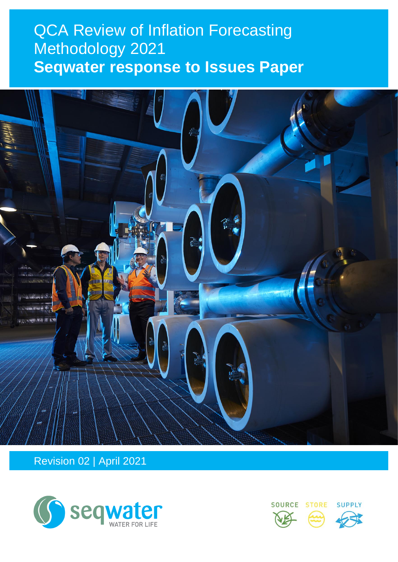# $O<sub>0</sub>$   $O<sub>0</sub>$   $O<sub>1</sub>$   $O<sub>2</sub>$   $O<sub>2</sub>$   $O<sub>3</sub>$   $O<sub>4</sub>$   $O<sub>5</sub>$   $O<sub>6</sub>$ **QCA Review of Inflation Forecasting** Methodology 2021 **Seqwater response to Issues Paper**



Revision 02 | April 2021



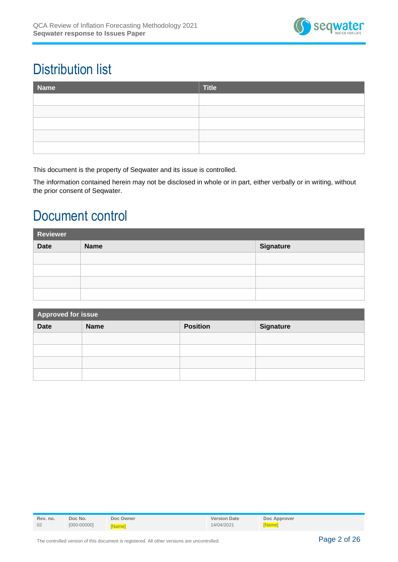

# Distribution list

| Name | Title |
|------|-------|
|      |       |
|      |       |
|      |       |
|      |       |
|      |       |

This document is the property of Seqwater and its issue is controlled.

The information contained herein may not be disclosed in whole or in part, either verbally or in writing, without the prior consent of Seqwater.

# Document control

| Reviewer                                |  |  |  |  |
|-----------------------------------------|--|--|--|--|
| <b>Date</b><br>Signature<br><b>Name</b> |  |  |  |  |
|                                         |  |  |  |  |
|                                         |  |  |  |  |
|                                         |  |  |  |  |
|                                         |  |  |  |  |

| Approved for issue |             |                 |                  |  |
|--------------------|-------------|-----------------|------------------|--|
| <b>Date</b>        | <b>Name</b> | <b>Position</b> | <b>Signature</b> |  |
|                    |             |                 |                  |  |
|                    |             |                 |                  |  |
|                    |             |                 |                  |  |
|                    |             |                 |                  |  |

| Rev. no. | Doc No.         | Doc Owner    | <b>Version Date</b> | Doc Approver  |
|----------|-----------------|--------------|---------------------|---------------|
| 02       | $[000 - 00000]$ | <b>Namel</b> | 14/04/2021          | <b>[Name]</b> |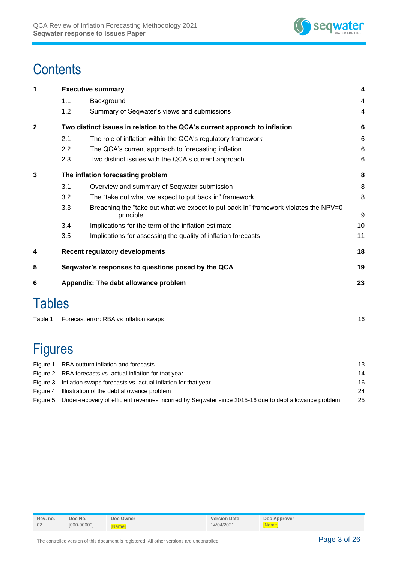

# **Contents**

| 1              |                                            | <b>Executive summary</b>                                                                         | 4               |  |  |  |
|----------------|--------------------------------------------|--------------------------------------------------------------------------------------------------|-----------------|--|--|--|
|                | 1.1                                        | Background                                                                                       | 4               |  |  |  |
|                | 1.2                                        | Summary of Seqwater's views and submissions                                                      | 4               |  |  |  |
| 2              |                                            | Two distinct issues in relation to the QCA's current approach to inflation                       | 6               |  |  |  |
|                | 2.1                                        | The role of inflation within the QCA's regulatory framework                                      | 6               |  |  |  |
|                | 2.2                                        | The QCA's current approach to forecasting inflation                                              | 6               |  |  |  |
|                | 2.3                                        | Two distinct issues with the QCA's current approach                                              | $6\phantom{1}6$ |  |  |  |
| 3              |                                            | The inflation forecasting problem                                                                | 8               |  |  |  |
|                | 3.1                                        | Overview and summary of Seqwater submission                                                      | 8               |  |  |  |
|                | 3.2                                        | The "take out what we expect to put back in" framework                                           | 8               |  |  |  |
|                | 3.3                                        | Breaching the "take out what we expect to put back in" framework violates the NPV=0<br>principle | 9               |  |  |  |
|                | 3.4                                        | Implications for the term of the inflation estimate                                              | 10              |  |  |  |
|                | 3.5                                        | Implications for assessing the quality of inflation forecasts                                    | 11              |  |  |  |
| 4              |                                            | <b>Recent regulatory developments</b>                                                            | 18              |  |  |  |
| 5              |                                            | Seqwater's responses to questions posed by the QCA                                               | 19              |  |  |  |
| 6              | Appendix: The debt allowance problem<br>23 |                                                                                                  |                 |  |  |  |
| <b>Tables</b>  |                                            |                                                                                                  |                 |  |  |  |
| Table 1        |                                            | Forecast error: RBA vs inflation swaps                                                           | 16              |  |  |  |
|                |                                            |                                                                                                  |                 |  |  |  |
| <b>Figures</b> |                                            |                                                                                                  |                 |  |  |  |
|                |                                            |                                                                                                  |                 |  |  |  |

| RBA outturn inflation and forecasts                                                                            | 13 |
|----------------------------------------------------------------------------------------------------------------|----|
| Figure 2 RBA forecasts vs. actual inflation for that year                                                      | 14 |
| Figure 3 Inflation swaps forecasts vs. actual inflation for that year                                          | 16 |
| Figure 4 Illustration of the debt allowance problem                                                            | 24 |
| Figure 5 Under-recovery of efficient revenues incurred by Segwater since 2015-16 due to debt allowance problem | 25 |
|                                                                                                                |    |

| Rev. no. | Doc No.         | Doc Owner    | <b>Version Date</b> | Doc Approver |
|----------|-----------------|--------------|---------------------|--------------|
| 02       | $[000 - 00000]$ | <b>Namel</b> | 14/04/2021          | [Name]       |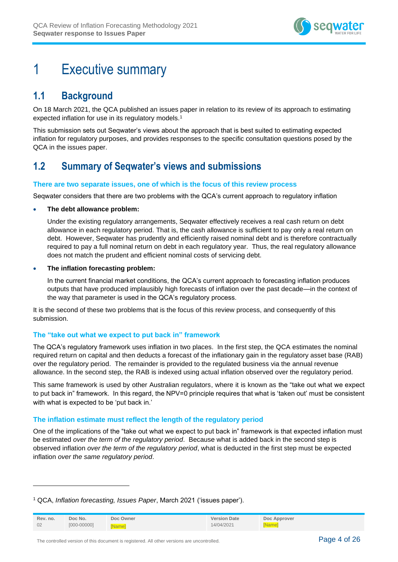

# <span id="page-3-0"></span>1 Executive summary

# <span id="page-3-1"></span>**1.1 Background**

On 18 March 2021, the QCA published an issues paper in relation to its review of its approach to estimating expected inflation for use in its regulatory models.<sup>1</sup>

This submission sets out Seqwater's views about the approach that is best suited to estimating expected inflation for regulatory purposes, and provides responses to the specific consultation questions posed by the QCA in the issues paper.

# <span id="page-3-2"></span>**1.2 Summary of Seqwater's views and submissions**

## **There are two separate issues, one of which is the focus of this review process**

Seqwater considers that there are two problems with the QCA's current approach to regulatory inflation

### • **The debt allowance problem:**

Under the existing regulatory arrangements, Seqwater effectively receives a real cash return on debt allowance in each regulatory period. That is, the cash allowance is sufficient to pay only a real return on debt. However, Seqwater has prudently and efficiently raised nominal debt and is therefore contractually required to pay a full nominal return on debt in each regulatory year. Thus, the real regulatory allowance does not match the prudent and efficient nominal costs of servicing debt.

### • **The inflation forecasting problem:**

In the current financial market conditions, the QCA's current approach to forecasting inflation produces outputs that have produced implausibly high forecasts of inflation over the past decade—in the context of the way that parameter is used in the QCA's regulatory process.

It is the second of these two problems that is the focus of this review process, and consequently of this submission.

## **The "take out what we expect to put back in" framework**

The QCA's regulatory framework uses inflation in two places. In the first step, the QCA estimates the nominal required return on capital and then deducts a forecast of the inflationary gain in the regulatory asset base (RAB) over the regulatory period. The remainder is provided to the regulated business via the annual revenue allowance. In the second step, the RAB is indexed using actual inflation observed over the regulatory period.

This same framework is used by other Australian regulators, where it is known as the "take out what we expect to put back in" framework. In this regard, the NPV=0 principle requires that what is 'taken out' must be consistent with what is expected to be 'put back in.'

## **The inflation estimate must reflect the length of the regulatory period**

One of the implications of the "take out what we expect to put back in" framework is that expected inflation must be estimated *over the term of the regulatory period*. Because what is added back in the second step is observed inflation *over the term of the regulatory period*, what is deducted in the first step must be expected inflation *over the same regulatory period*.

<sup>1</sup> QCA, *Inflation forecasting, Issues Paper*, March 2021 ('issues paper').

| Rev. no. | Doc No.         | Doc Owner    | <b>Version Date</b> | Doc Approver  |
|----------|-----------------|--------------|---------------------|---------------|
| 02       | $[000 - 00000]$ | <b>Namel</b> | 14/04/2021          | <b>[Name]</b> |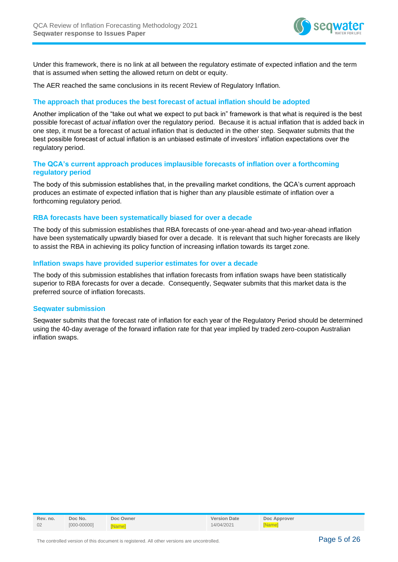

Under this framework, there is no link at all between the regulatory estimate of expected inflation and the term that is assumed when setting the allowed return on debt or equity.

The AER reached the same conclusions in its recent Review of Regulatory Inflation.

## **The approach that produces the best forecast of actual inflation should be adopted**

Another implication of the "take out what we expect to put back in" framework is that what is required is the best possible forecast of *actual inflation* over the regulatory period. Because it is actual inflation that is added back in one step, it must be a forecast of actual inflation that is deducted in the other step. Seqwater submits that the best possible forecast of actual inflation is an unbiased estimate of investors' inflation expectations over the regulatory period.

## **The QCA's current approach produces implausible forecasts of inflation over a forthcoming regulatory period**

The body of this submission establishes that, in the prevailing market conditions, the QCA's current approach produces an estimate of expected inflation that is higher than any plausible estimate of inflation over a forthcoming regulatory period.

#### **RBA forecasts have been systematically biased for over a decade**

The body of this submission establishes that RBA forecasts of one-year-ahead and two-year-ahead inflation have been systematically upwardly biased for over a decade. It is relevant that such higher forecasts are likely to assist the RBA in achieving its policy function of increasing inflation towards its target zone.

### **Inflation swaps have provided superior estimates for over a decade**

The body of this submission establishes that inflation forecasts from inflation swaps have been statistically superior to RBA forecasts for over a decade. Consequently, Seqwater submits that this market data is the preferred source of inflation forecasts.

### **Seqwater submission**

Seqwater submits that the forecast rate of inflation for each year of the Regulatory Period should be determined using the 40-day average of the forward inflation rate for that year implied by traded zero-coupon Australian inflation swaps.

| Rev. no. | Doc No.         | Doc Owner    | <b>Version Date</b> | Doc Approver  |
|----------|-----------------|--------------|---------------------|---------------|
| 02       | $[000 - 00000]$ | <b>Namel</b> | 14/04/2021          | <b>INamel</b> |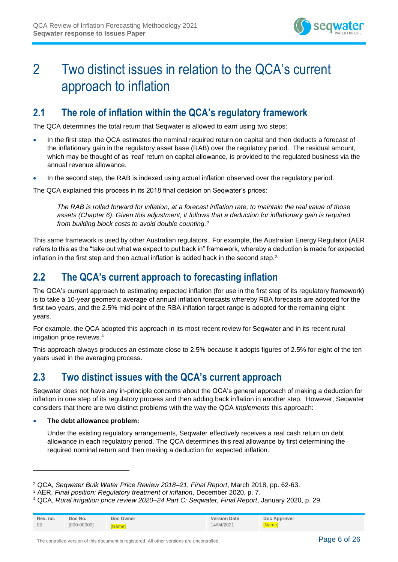

# <span id="page-5-0"></span>2 Two distinct issues in relation to the QCA's current approach to inflation

# <span id="page-5-1"></span>**2.1 The role of inflation within the QCA's regulatory framework**

The QCA determines the total return that Seqwater is allowed to earn using two steps:

- In the first step, the QCA estimates the nominal required return on capital and then deducts a forecast of the inflationary gain in the regulatory asset base (RAB) over the regulatory period. The residual amount, which may be thought of as 'real' return on capital allowance, is provided to the regulated business via the annual revenue allowance.
- In the second step, the RAB is indexed using actual inflation observed over the regulatory period.

The QCA explained this process in its 2018 final decision on Seqwater's prices:

*The RAB is rolled forward for inflation, at a forecast inflation rate, to maintain the real value of those assets (Chapter 6). Given this adjustment, it follows that a deduction for inflationary gain is required from building block costs to avoid double counting.<sup>2</sup>*

This same framework is used by other Australian regulators. For example, the Australian Energy Regulator (AER refers to this as the "take out what we expect to put back in" framework, whereby a deduction is made for expected inflation in the first step and then actual inflation is added back in the second step.<sup>3</sup>

# <span id="page-5-2"></span>**2.2 The QCA's current approach to forecasting inflation**

The QCA's current approach to estimating expected inflation (for use in the first step of its regulatory framework) is to take a 10-year geometric average of annual inflation forecasts whereby RBA forecasts are adopted for the first two years, and the 2.5% mid-point of the RBA inflation target range is adopted for the remaining eight years.

For example, the QCA adopted this approach in its most recent review for Seqwater and in its recent rural irrigation price reviews.<sup>4</sup>

This approach always produces an estimate close to 2.5% because it adopts figures of 2.5% for eight of the ten years used in the averaging process.

# <span id="page-5-3"></span>**2.3 Two distinct issues with the QCA's current approach**

Seqwater does not have any in-principle concerns about the QCA's general approach of making a deduction for inflation in one step of its regulatory process and then adding back inflation in another step. However, Seqwater considers that there are two distinct problems with the way the QCA *implements* this approach:

### • **The debt allowance problem:**

Under the existing regulatory arrangements, Seqwater effectively receives a real cash return on debt allowance in each regulatory period. The QCA determines this real allowance by first determining the required nominal return and then making a deduction for expected inflation.

<sup>4</sup> QCA, *Rural irrigation price review 2020–24 Part C: Seqwater, Final Report*, January 2020, p. 29.

| Rev. no. | Doc No.         | Doc Owner    | <b>Version Date</b> | Doc Approver  |
|----------|-----------------|--------------|---------------------|---------------|
| 02       | $[000 - 00000]$ | <b>Namel</b> | 14/04/2021          | <b>[Name]</b> |

<sup>2</sup> QCA, *Seqwater Bulk Water Price Review 2018–21*, *Final Report*, March 2018, pp. 62-63.

<sup>3</sup> AER, *Final position: Regulatory treatment of inflation*, December 2020, p. 7.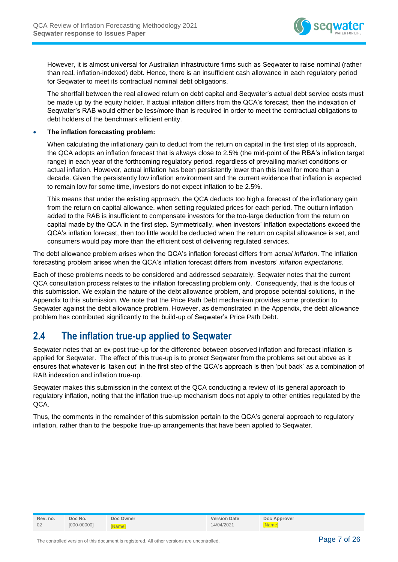

However, it is almost universal for Australian infrastructure firms such as Seqwater to raise nominal (rather than real, inflation-indexed) debt. Hence, there is an insufficient cash allowance in each regulatory period for Seqwater to meet its contractual nominal debt obligations.

The shortfall between the real allowed return on debt capital and Seqwater's actual debt service costs must be made up by the equity holder. If actual inflation differs from the QCA's forecast, then the indexation of Seqwater's RAB would either be less/more than is required in order to meet the contractual obligations to debt holders of the benchmark efficient entity.

#### • **The inflation forecasting problem:**

When calculating the inflationary gain to deduct from the return on capital in the first step of its approach, the QCA adopts an inflation forecast that is always close to 2.5% (the mid-point of the RBA's inflation target range) in each year of the forthcoming regulatory period, regardless of prevailing market conditions or actual inflation. However, actual inflation has been persistently lower than this level for more than a decade. Given the persistently low inflation environment and the current evidence that inflation is expected to remain low for some time, investors do not expect inflation to be 2.5%.

This means that under the existing approach, the QCA deducts too high a forecast of the inflationary gain from the return on capital allowance, when setting regulated prices for each period. The outturn inflation added to the RAB is insufficient to compensate investors for the too-large deduction from the return on capital made by the QCA in the first step. Symmetrically, when investors' inflation expectations exceed the QCA's inflation forecast, then too little would be deducted when the return on capital allowance is set, and consumers would pay more than the efficient cost of delivering regulated services.

The debt allowance problem arises when the QCA's inflation forecast differs from *actual inflation*. The inflation forecasting problem arises when the QCA's inflation forecast differs from investors' *inflation expectations*.

Each of these problems needs to be considered and addressed separately. Seqwater notes that the current QCA consultation process relates to the inflation forecasting problem only. Consequently, that is the focus of this submission. We explain the nature of the debt allowance problem, and propose potential solutions, in the Appendix to this submission. We note that the Price Path Debt mechanism provides some protection to Seqwater against the debt allowance problem. However, as demonstrated in the Appendix, the debt allowance problem has contributed significantly to the build-up of Seqwater's Price Path Debt.

# <span id="page-6-0"></span>**2.4 The inflation true-up applied to Seqwater**

Seqwater notes that an ex-post true-up for the difference between observed inflation and forecast inflation is applied for Seqwater. The effect of this true-up is to protect Seqwater from the problems set out above as it ensures that whatever is 'taken out' in the first step of the QCA's approach is then 'put back' as a combination of RAB indexation and inflation true-up.

Seqwater makes this submission in the context of the QCA conducting a review of its general approach to regulatory inflation, noting that the inflation true-up mechanism does not apply to other entities regulated by the QCA.

Thus, the comments in the remainder of this submission pertain to the QCA's general approach to regulatory inflation, rather than to the bespoke true-up arrangements that have been applied to Seqwater.

| Rev. no. | Doc No.         | Doc Owner    | <b>Version Date</b> | Doc Approver |
|----------|-----------------|--------------|---------------------|--------------|
| 02       | $[000 - 00000]$ | <b>Namel</b> | 14/04/2021          | <b>Namel</b> |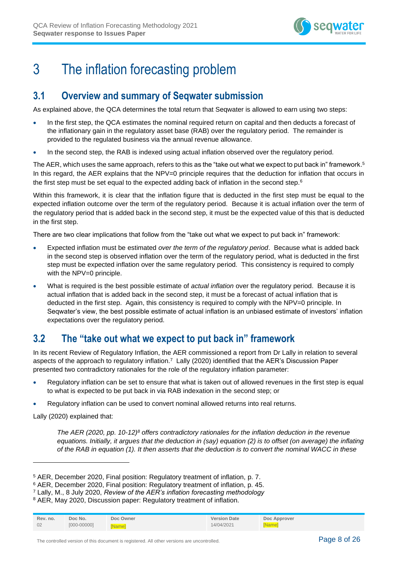

# <span id="page-7-0"></span>3 The inflation forecasting problem

# <span id="page-7-1"></span>**3.1 Overview and summary of Seqwater submission**

As explained above, the QCA determines the total return that Seqwater is allowed to earn using two steps:

- In the first step, the QCA estimates the nominal required return on capital and then deducts a forecast of the inflationary gain in the regulatory asset base (RAB) over the regulatory period. The remainder is provided to the regulated business via the annual revenue allowance.
- In the second step, the RAB is indexed using actual inflation observed over the regulatory period.

The AER, which uses the same approach, refers to this as the "take out what we expect to put back in" framework. 5 In this regard, the AER explains that the NPV=0 principle requires that the deduction for inflation that occurs in the first step must be set equal to the expected adding back of inflation in the second step.<sup>6</sup>

Within this framework, it is clear that the inflation figure that is deducted in the first step must be equal to the expected inflation outcome over the term of the regulatory period. Because it is actual inflation over the term of the regulatory period that is added back in the second step, it must be the expected value of this that is deducted in the first step.

There are two clear implications that follow from the "take out what we expect to put back in" framework:

- Expected inflation must be estimated *over the term of the regulatory period*. Because what is added back in the second step is observed inflation over the term of the regulatory period, what is deducted in the first step must be expected inflation over the same regulatory period. This consistency is required to comply with the NPV=0 principle.
- What is required is the best possible estimate of *actual inflation* over the regulatory period. Because it is actual inflation that is added back in the second step, it must be a forecast of actual inflation that is deducted in the first step. Again, this consistency is required to comply with the NPV=0 principle. In Seqwater's view, the best possible estimate of actual inflation is an unbiased estimate of investors' inflation expectations over the regulatory period.

# <span id="page-7-2"></span>**3.2 The "take out what we expect to put back in" framework**

In its recent Review of Regulatory Inflation, the AER commissioned a report from Dr Lally in relation to several aspects of the approach to regulatory inflation.<sup>7</sup> Lally (2020) identified that the AER's Discussion Paper presented two contradictory rationales for the role of the regulatory inflation parameter:

- Regulatory inflation can be set to ensure that what is taken out of allowed revenues in the first step is equal to what is expected to be put back in via RAB indexation in the second step; or
- Regulatory inflation can be used to convert nominal allowed returns into real returns.

Lally (2020) explained that:

*The AER (2020, pp. 10-12)<sup>8</sup> offers contradictory rationales for the inflation deduction in the revenue equations. Initially, it argues that the deduction in (say) equation (2) is to offset (on average) the inflating of the RAB in equation (1). It then asserts that the deduction is to convert the nominal WACC in these* 

<sup>&</sup>lt;sup>8</sup> AER, May 2020, Discussion paper: Regulatory treatment of inflation.

| Rev. no. | Doc No.         | Doc Owner    | <b>Version Date</b> | Doc Approver  |
|----------|-----------------|--------------|---------------------|---------------|
| 02       | $[000 - 00000]$ | <b>Namel</b> | 14/04/2021          | <b>INamel</b> |

<sup>5</sup> AER, December 2020, Final position: Regulatory treatment of inflation, p. 7.

<sup>6</sup> AER, December 2020, Final position: Regulatory treatment of inflation, p. 45.

<sup>7</sup> Lally, M., 8 July 2020, *Review of the AER's inflation forecasting methodology*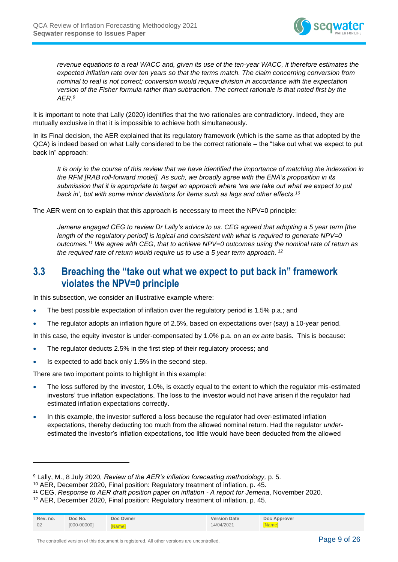

*revenue equations to a real WACC and, given its use of the ten-year WACC, it therefore estimates the expected inflation rate over ten years so that the terms match. The claim concerning conversion from nominal to real is not correct; conversion would require division in accordance with the expectation version of the Fisher formula rather than subtraction. The correct rationale is that noted first by the AER.<sup>9</sup>*

It is important to note that Lally (2020) identifies that the two rationales are contradictory. Indeed, they are mutually exclusive in that it is impossible to achieve both simultaneously.

In its Final decision, the AER explained that its regulatory framework (which is the same as that adopted by the QCA) is indeed based on what Lally considered to be the correct rationale – the "take out what we expect to put back in" approach:

*It is only in the course of this review that we have identified the importance of matching the indexation in the RFM [RAB roll-forward model]. As such, we broadly agree with the ENA's proposition in its submission that it is appropriate to target an approach where 'we are take out what we expect to put back in', but with some minor deviations for items such as lags and other effects.<sup>10</sup>*

The AER went on to explain that this approach is necessary to meet the NPV=0 principle:

*Jemena engaged CEG to review Dr Lally's advice to us. CEG agreed that adopting a 5 year term [the length of the regulatory period] is logical and consistent with what is required to generate NPV=0 outcomes.<sup>11</sup> We agree with CEG, that to achieve NPV=0 outcomes using the nominal rate of return as the required rate of return would require us to use a 5 year term approach. <sup>12</sup>*

# <span id="page-8-0"></span>**3.3 Breaching the "take out what we expect to put back in" framework violates the NPV=0 principle**

In this subsection, we consider an illustrative example where:

- The best possible expectation of inflation over the regulatory period is 1.5% p.a.; and
- The regulator adopts an inflation figure of 2.5%, based on expectations over (say) a 10-year period.

In this case, the equity investor is under-compensated by 1.0% p.a. on an *ex ante* basis. This is because:

- The regulator deducts 2.5% in the first step of their regulatory process; and
- Is expected to add back only 1.5% in the second step.

There are two important points to highlight in this example:

- The loss suffered by the investor, 1.0%, is exactly equal to the extent to which the regulator mis-estimated investors' true inflation expectations. The loss to the investor would not have arisen if the regulator had estimated inflation expectations correctly.
- In this example, the investor suffered a loss because the regulator had *over*-estimated inflation expectations, thereby deducting too much from the allowed nominal return. Had the regulator *under*estimated the investor's inflation expectations, too little would have been deducted from the allowed

<sup>12</sup> AER, December 2020, Final position: Regulatory treatment of inflation, p. 45.

| Rev. no. | Doc No.         | Doc Owner    | <b>Version Date</b> | Doc Approver |
|----------|-----------------|--------------|---------------------|--------------|
| 02       | $[000 - 00000]$ | <b>Namel</b> | 14/04/2021          | [Name]       |

<sup>9</sup> Lally, M., 8 July 2020, *Review of the AER's inflation forecasting methodology,* p. 5.

<sup>10</sup> AER, December 2020, Final position: Regulatory treatment of inflation, p. 45.

<sup>11</sup> CEG, *Response to AER draft position paper on inflation - A report for Jemena*, November 2020.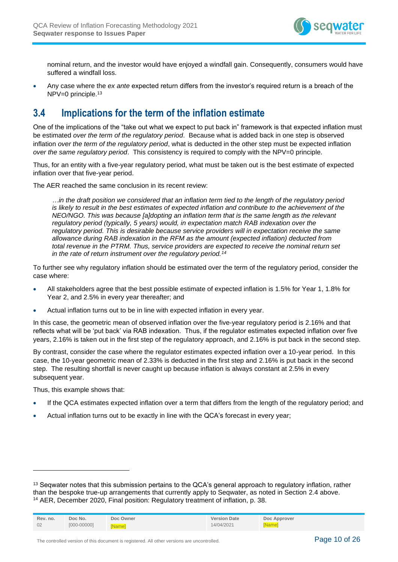

nominal return, and the investor would have enjoyed a windfall gain. Consequently, consumers would have suffered a windfall loss.

• Any case where the *ex ante* expected return differs from the investor's required return is a breach of the NPV=0 principle.<sup>13</sup>

# <span id="page-9-0"></span>**3.4 Implications for the term of the inflation estimate**

One of the implications of the "take out what we expect to put back in" framework is that expected inflation must be estimated *over the term of the regulatory period*. Because what is added back in one step is observed inflation *over the term of the regulatory period*, what is deducted in the other step must be expected inflation *over the same regulatory period*. This consistency is required to comply with the NPV=0 principle.

Thus, for an entity with a five-year regulatory period, what must be taken out is the best estimate of expected inflation over that five-year period.

The AER reached the same conclusion in its recent review:

*…in the draft position we considered that an inflation term tied to the length of the regulatory period is likely to result in the best estimates of expected inflation and contribute to the achievement of the NEO/NGO. This was because [a]dopting an inflation term that is the same length as the relevant regulatory period (typically, 5 years) would, in expectation match RAB indexation over the regulatory period. This is desirable because service providers will in expectation receive the same allowance during RAB indexation in the RFM as the amount (expected inflation) deducted from total revenue in the PTRM. Thus, service providers are expected to receive the nominal return set in the rate of return instrument over the regulatory period.<sup>14</sup>*

To further see why regulatory inflation should be estimated over the term of the regulatory period, consider the case where:

- All stakeholders agree that the best possible estimate of expected inflation is 1.5% for Year 1, 1.8% for Year 2, and 2.5% in every year thereafter; and
- Actual inflation turns out to be in line with expected inflation in every year.

In this case, the geometric mean of observed inflation over the five-year regulatory period is 2.16% and that reflects what will be 'put back' via RAB indexation. Thus, if the regulator estimates expected inflation over five years, 2.16% is taken out in the first step of the regulatory approach, and 2.16% is put back in the second step.

By contrast, consider the case where the regulator estimates expected inflation over a 10-year period. In this case, the 10-year geometric mean of 2.33% is deducted in the first step and 2.16% is put back in the second step. The resulting shortfall is never caught up because inflation is always constant at 2.5% in every subsequent year.

Thus, this example shows that:

- If the QCA estimates expected inflation over a term that differs from the length of the regulatory period; and
- Actual inflation turns out to be exactly in line with the QCA's forecast in every year;

<sup>&</sup>lt;sup>13</sup> Seqwater notes that this submission pertains to the QCA's general approach to regulatory inflation, rather than the bespoke true-up arrangements that currently apply to Seqwater, as noted in Section [2.4](#page-6-0) above. <sup>14</sup> AER, December 2020, Final position: Regulatory treatment of inflation, p. 38.

| Rev. no. | Doc No.         | Doc Owner     | <b>Version Date</b> | Doc Approver |
|----------|-----------------|---------------|---------------------|--------------|
| 02       | $[000 - 00000]$ | <b>INamel</b> | 14/04/2021          | [Name]       |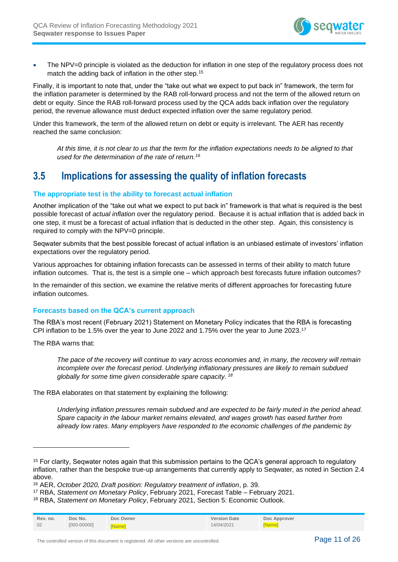

• The NPV=0 principle is violated as the deduction for inflation in one step of the regulatory process does not match the adding back of inflation in the other step.<sup>15</sup>

Finally, it is important to note that, under the "take out what we expect to put back in" framework, the term for the inflation parameter is determined by the RAB roll-forward process and not the term of the allowed return on debt or equity. Since the RAB roll-forward process used by the QCA adds back inflation over the regulatory period, the revenue allowance must deduct expected inflation over the same regulatory period.

Under this framework, the term of the allowed return on debt or equity is irrelevant. The AER has recently reached the same conclusion:

*At this time, it is not clear to us that the term for the inflation expectations needs to be aligned to that used for the determination of the rate of return.<sup>16</sup>*

# <span id="page-10-0"></span>**3.5 Implications for assessing the quality of inflation forecasts**

## **The appropriate test is the ability to forecast actual inflation**

Another implication of the "take out what we expect to put back in" framework is that what is required is the best possible forecast of *actual inflation* over the regulatory period. Because it is actual inflation that is added back in one step, it must be a forecast of actual inflation that is deducted in the other step. Again, this consistency is required to comply with the NPV=0 principle.

Seqwater submits that the best possible forecast of actual inflation is an unbiased estimate of investors' inflation expectations over the regulatory period.

Various approaches for obtaining inflation forecasts can be assessed in terms of their ability to match future inflation outcomes. That is, the test is a simple one – which approach best forecasts future inflation outcomes?

In the remainder of this section, we examine the relative merits of different approaches for forecasting future inflation outcomes.

### **Forecasts based on the QCA's current approach**

The RBA's most recent (February 2021) Statement on Monetary Policy indicates that the RBA is forecasting CPI inflation to be 1.5% over the year to June 2022 and 1.75% over the year to June 2023.<sup>17</sup>

The RBA warns that:

*The pace of the recovery will continue to vary across economies and, in many, the recovery will remain incomplete over the forecast period. Underlying inflationary pressures are likely to remain subdued globally for some time given considerable spare capacity. <sup>18</sup>*

The RBA elaborates on that statement by explaining the following:

*Underlying inflation pressures remain subdued and are expected to be fairly muted in the period ahead. Spare capacity in the labour market remains elevated, and wages growth has eased further from already low rates. Many employers have responded to the economic challenges of the pandemic by* 

<sup>18</sup> RBA, *Statement on Monetary Policy*, February 2021, Section 5: Economic Outlook.

| Rev. no. | Doc No.         | Doc Owner     | <b>Version Date</b> | Doc Approver |
|----------|-----------------|---------------|---------------------|--------------|
| 02       | $[000 - 00000]$ | <b>INamel</b> | 14/04/2021          | <b>Name</b>  |

<sup>&</sup>lt;sup>15</sup> For clarity, Seqwater notes again that this submission pertains to the QCA's general approach to regulatory inflation, rather than the bespoke true-up arrangements that currently apply to Seqwater, as noted in Section [2.4](#page-6-0) above.

<sup>16</sup> AER, *October 2020, Draft position: Regulatory treatment of inflation*, p. 39.

<sup>17</sup> RBA, *Statement on Monetary Policy*, February 2021, Forecast Table – February 2021.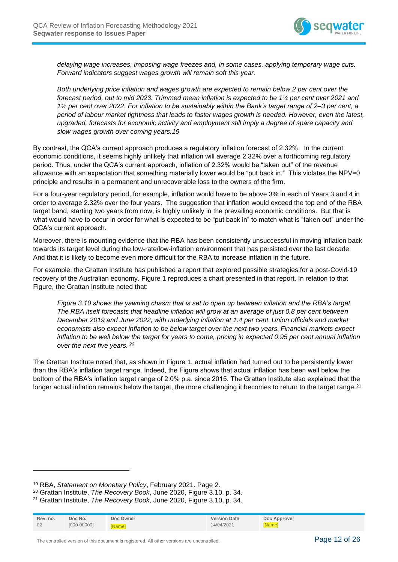

*delaying wage increases, imposing wage freezes and, in some cases, applying temporary wage cuts. Forward indicators suggest wages growth will remain soft this year.* 

*Both underlying price inflation and wages growth are expected to remain below 2 per cent over the forecast period, out to mid 2023. Trimmed mean inflation is expected to be 1¼ per cent over 2021 and 1½ per cent over 2022. For inflation to be sustainably within the Bank's target range of 2–3 per cent, a period of labour market tightness that leads to faster wages growth is needed. However, even the latest, upgraded, forecasts for economic activity and employment still imply a degree of spare capacity and slow wages growth over coming years.19*

By contrast, the QCA's current approach produces a regulatory inflation forecast of 2.32%. In the current economic conditions, it seems highly unlikely that inflation will average 2.32% over a forthcoming regulatory period. Thus, under the QCA's current approach, inflation of 2.32% would be "taken out" of the revenue allowance with an expectation that something materially lower would be "put back in." This violates the NPV=0 principle and results in a permanent and unrecoverable loss to the owners of the firm.

For a four-year regulatory period, for example, inflation would have to be above 3% in each of Years 3 and 4 in order to average 2.32% over the four years. The suggestion that inflation would exceed the top end of the RBA target band, starting two years from now, is highly unlikely in the prevailing economic conditions. But that is what would have to occur in order for what is expected to be "put back in" to match what is "taken out" under the QCA's current approach.

Moreover, there is mounting evidence that the RBA has been consistently unsuccessful in moving inflation back towards its target level during the low-rate/low-inflation environment that has persisted over the last decade. And that it is likely to become even more difficult for the RBA to increase inflation in the future.

For example, the Grattan Institute has published a report that explored possible strategies for a post-Covid-19 recovery of the Australian economy. [Figure 1](#page-12-0) reproduces a chart presented in that report. In relation to that Figure, the Grattan Institute noted that:

*Figure 3.10 shows the yawning chasm that is set to open up between inflation and the RBA's target. The RBA itself forecasts that headline inflation will grow at an average of just 0.8 per cent between December 2019 and June 2022, with underlying inflation at 1.4 per cent. Union officials and market economists also expect inflation to be below target over the next two years. Financial markets expect inflation to be well below the target for years to come, pricing in expected 0.95 per cent annual inflation over the next five years. <sup>20</sup>*

The Grattan Institute noted that, as shown in [Figure 1,](#page-12-0) actual inflation had turned out to be persistently lower than the RBA's inflation target range. Indeed, the Figure shows that actual inflation has been well below the bottom of the RBA's inflation target range of 2.0% p.a. since 2015. The Grattan Institute also explained that the longer actual inflation remains below the target, the more challenging it becomes to return to the target range.<sup>21</sup>

<sup>21</sup> Grattan Institute, *The Recovery Book*, June 2020, Figure 3.10, p. 34.

| Rev. no. | Doc No.         | Doc Owner    | <b>Version Date</b> | Doc Approver  |
|----------|-----------------|--------------|---------------------|---------------|
| 02       | $[000 - 00000]$ | <b>Wamel</b> | 14/04/2021          | <b>INamel</b> |

The controlled version of this document is registered. All other versions are uncontrolled. Page 12 of 26

<sup>19</sup> RBA, *Statement on Monetary Policy*, February 2021. Page 2.

<sup>20</sup> Grattan Institute, *The Recovery Book*, June 2020, Figure 3.10, p. 34.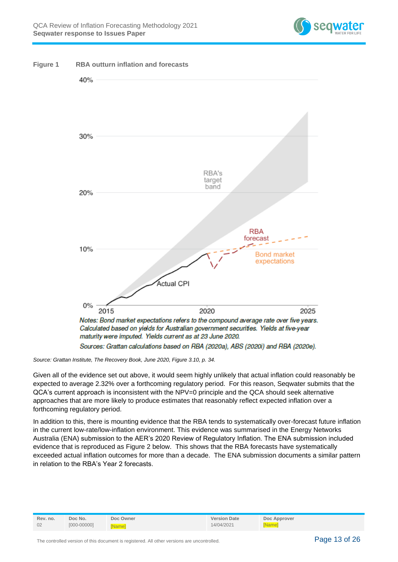

<span id="page-12-0"></span>

*Source: Grattan Institute, The Recovery Book, June 2020, Figure 3.10, p. 34.*

Given all of the evidence set out above, it would seem highly unlikely that actual inflation could reasonably be expected to average 2.32% over a forthcoming regulatory period. For this reason, Seqwater submits that the QCA's current approach is inconsistent with the NPV=0 principle and the QCA should seek alternative approaches that are more likely to produce estimates that reasonably reflect expected inflation over a forthcoming regulatory period.

In addition to this, there is mounting evidence that the RBA tends to systematically over-forecast future inflation in the current low-rate/low-inflation environment. This evidence was summarised in the Energy Networks Australia (ENA) submission to the AER's 2020 Review of Regulatory Inflation. The ENA submission included evidence that is reproduced as Figure 2 below. This shows that the RBA forecasts have systematically exceeded actual inflation outcomes for more than a decade. The ENA submission documents a similar pattern in relation to the RBA's Year 2 forecasts.

| Rev. no. | Doc No.         | Doc Owner    | <b>Version Date</b> | Doc Approver  |
|----------|-----------------|--------------|---------------------|---------------|
| 02       | $[000 - 00000]$ | <b>Namel</b> | 14/04/2021          | <b>INamel</b> |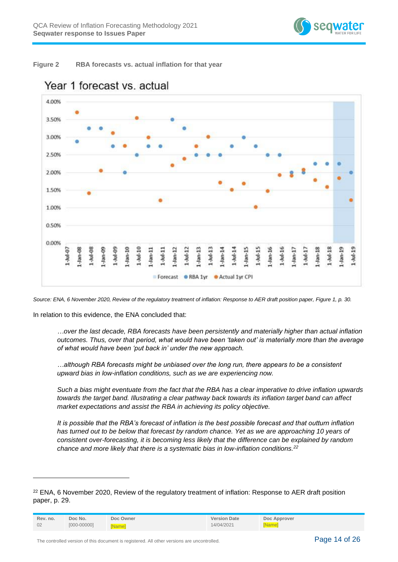

<span id="page-13-0"></span>



# Year 1 forecast vs. actual

*Source: ENA, 6 November 2020, Review of the regulatory treatment of inflation: Response to AER draft position paper, Figure 1, p. 30.*

In relation to this evidence, the ENA concluded that:

*…over the last decade, RBA forecasts have been persistently and materially higher than actual inflation outcomes. Thus, over that period, what would have been 'taken out' is materially more than the average of what would have been 'put back in' under the new approach.*

*…although RBA forecasts might be unbiased over the long run, there appears to be a consistent upward bias in low-inflation conditions, such as we are experiencing now.* 

*Such a bias might eventuate from the fact that the RBA has a clear imperative to drive inflation upwards towards the target band. Illustrating a clear pathway back towards its inflation target band can affect market expectations and assist the RBA in achieving its policy objective.* 

*It is possible that the RBA's forecast of inflation is the best possible forecast and that outturn inflation has turned out to be below that forecast by random chance. Yet as we are approaching 10 years of consistent over-forecasting, it is becoming less likely that the difference can be explained by random chance and more likely that there is a systematic bias in low-inflation conditions.<sup>22</sup>*

<sup>22</sup> ENA, 6 November 2020, Review of the regulatory treatment of inflation: Response to AER draft position paper, p. 29.

| Rev. no. | Doc No.         | Doc Owner    | <b>Version Date</b> | Doc Approver |
|----------|-----------------|--------------|---------------------|--------------|
| 02       | $[000 - 00000]$ | <b>Namel</b> | 14/04/2021          | [Name]       |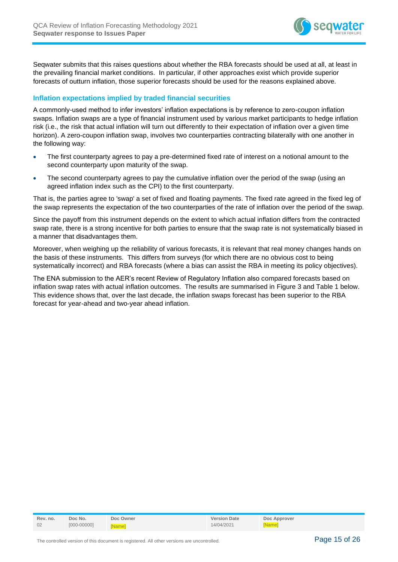

Seqwater submits that this raises questions about whether the RBA forecasts should be used at all, at least in the prevailing financial market conditions. In particular, if other approaches exist which provide superior forecasts of outturn inflation, those superior forecasts should be used for the reasons explained above.

## **Inflation expectations implied by traded financial securities**

A commonly-used method to infer investors' inflation expectations is by reference to zero-coupon inflation swaps. Inflation swaps are a type of financial instrument used by various market participants to hedge inflation risk (i.e., the risk that actual inflation will turn out differently to their expectation of inflation over a given time horizon). A zero-coupon inflation swap, involves two counterparties contracting bilaterally with one another in the following way:

- The first counterparty agrees to pay a pre-determined fixed rate of interest on a notional amount to the second counterparty upon maturity of the swap.
- The second counterparty agrees to pay the cumulative inflation over the period of the swap (using an agreed inflation index such as the CPI) to the first counterparty.

That is, the parties agree to 'swap' a set of fixed and floating payments. The fixed rate agreed in the fixed leg of the swap represents the expectation of the two counterparties of the rate of inflation over the period of the swap.

Since the payoff from this instrument depends on the extent to which actual inflation differs from the contracted swap rate, there is a strong incentive for both parties to ensure that the swap rate is not systematically biased in a manner that disadvantages them.

Moreover, when weighing up the reliability of various forecasts, it is relevant that real money changes hands on the basis of these instruments. This differs from surveys (for which there are no obvious cost to being systematically incorrect) and RBA forecasts (where a bias can assist the RBA in meeting its policy objectives).

The ENA submission to the AER's recent Review of Regulatory Inflation also compared forecasts based on inflation swap rates with actual inflation outcomes. The results are summarised in Figure 3 and [Table 1](#page-15-0) below. This evidence shows that, over the last decade, the inflation swaps forecast has been superior to the RBA forecast for year-ahead and two-year ahead inflation.

| Rev. no. | Doc No.         | Doc Owner     | <b>Version Date</b> | Doc Approver |
|----------|-----------------|---------------|---------------------|--------------|
| 02       | $[000 - 00000]$ | <b>INamel</b> | 14/04/2021          | [Name]       |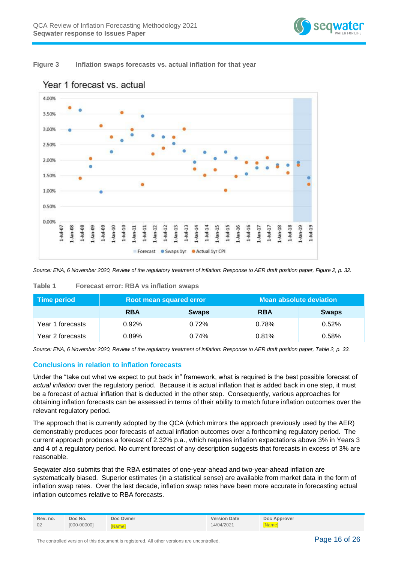

## <span id="page-15-1"></span>**Figure 3 Inflation swaps forecasts vs. actual inflation for that year**



## Year 1 forecast vs. actual

*Source: ENA, 6 November 2020, Review of the regulatory treatment of inflation: Response to AER draft position paper, Figure 2, p. 32.*

| Time period      | Root mean squared error |              | <b>Mean absolute deviation</b> |              |
|------------------|-------------------------|--------------|--------------------------------|--------------|
|                  | <b>RBA</b>              | <b>Swaps</b> | <b>RBA</b>                     | <b>Swaps</b> |
| Year 1 forecasts | 0.92%                   | $0.72\%$     | 0.78%                          | $0.52\%$     |
| Year 2 forecasts | 0.89%                   | 0.74%        | 0.81%                          | 0.58%        |

#### <span id="page-15-0"></span>**Table 1 Forecast error: RBA vs inflation swaps**

*Source: ENA, 6 November 2020, Review of the regulatory treatment of inflation: Response to AER draft position paper, Table 2, p. 33.*

## **Conclusions in relation to inflation forecasts**

Under the "take out what we expect to put back in" framework, what is required is the best possible forecast of *actual inflation* over the regulatory period. Because it is actual inflation that is added back in one step, it must be a forecast of actual inflation that is deducted in the other step. Consequently, various approaches for obtaining inflation forecasts can be assessed in terms of their ability to match future inflation outcomes over the relevant regulatory period.

The approach that is currently adopted by the QCA (which mirrors the approach previously used by the AER) demonstrably produces poor forecasts of actual inflation outcomes over a forthcoming regulatory period. The current approach produces a forecast of 2.32% p.a., which requires inflation expectations above 3% in Years 3 and 4 of a regulatory period. No current forecast of any description suggests that forecasts in excess of 3% are reasonable.

Seqwater also submits that the RBA estimates of one-year-ahead and two-year-ahead inflation are systematically biased. Superior estimates (in a statistical sense) are available from market data in the form of inflation swap rates. Over the last decade, inflation swap rates have been more accurate in forecasting actual inflation outcomes relative to RBA forecasts.

| Rev. no. | Doc No.         | Doc Owner    | <b>Version Date</b> | Doc Approver |
|----------|-----------------|--------------|---------------------|--------------|
| 02       | $[000 - 00000]$ | <b>Namel</b> | 14/04/2021          | <b>Name</b>  |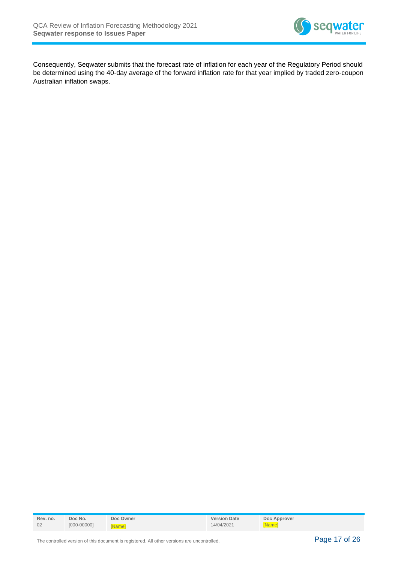

Consequently, Seqwater submits that the forecast rate of inflation for each year of the Regulatory Period should be determined using the 40-day average of the forward inflation rate for that year implied by traded zero-coupon Australian inflation swaps.

| Rev. no. | Doc No.         | Doc Owner    | <b>Version Date</b> | Doc Approver |
|----------|-----------------|--------------|---------------------|--------------|
| 02       | $[000 - 00000]$ | <b>Wamel</b> | 14/04/2021          | [Name]       |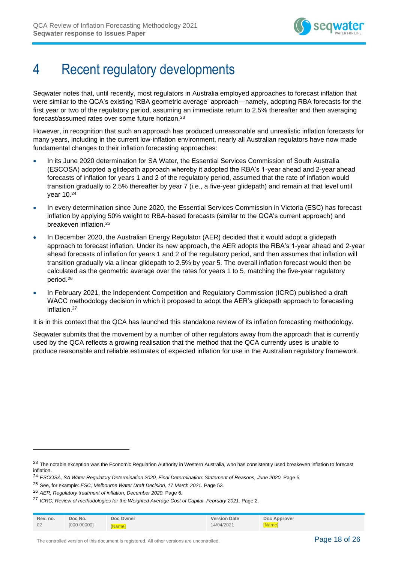

# <span id="page-17-0"></span>4 Recent regulatory developments

Seqwater notes that, until recently, most regulators in Australia employed approaches to forecast inflation that were similar to the QCA's existing 'RBA geometric average' approach—namely, adopting RBA forecasts for the first year or two of the regulatory period, assuming an immediate return to 2.5% thereafter and then averaging forecast/assumed rates over some future horizon.<sup>23</sup>

However, in recognition that such an approach has produced unreasonable and unrealistic inflation forecasts for many years, including in the current low-inflation environment, nearly all Australian regulators have now made fundamental changes to their inflation forecasting approaches:

- In its June 2020 determination for SA Water, the Essential Services Commission of South Australia (ESCOSA) adopted a glidepath approach whereby it adopted the RBA's 1-year ahead and 2-year ahead forecasts of inflation for years 1 and 2 of the regulatory period, assumed that the rate of inflation would transition gradually to 2.5% thereafter by year 7 (i.e., a five-year glidepath) and remain at that level until year 10.<sup>24</sup>
- In every determination since June 2020, the Essential Services Commission in Victoria (ESC) has forecast inflation by applying 50% weight to RBA-based forecasts (similar to the QCA's current approach) and breakeven inflation.<sup>25</sup>
- In December 2020, the Australian Energy Regulator (AER) decided that it would adopt a glidepath approach to forecast inflation. Under its new approach, the AER adopts the RBA's 1-year ahead and 2-year ahead forecasts of inflation for years 1 and 2 of the regulatory period, and then assumes that inflation will transition gradually via a linear glidepath to 2.5% by year 5. The overall inflation forecast would then be calculated as the geometric average over the rates for years 1 to 5, matching the five-year regulatory period. 26
- In February 2021, the Independent Competition and Regulatory Commission (ICRC) published a draft WACC methodology decision in which it proposed to adopt the AER's glidepath approach to forecasting inflation.<sup>27</sup>

It is in this context that the QCA has launched this standalone review of its inflation forecasting methodology.

Seqwater submits that the movement by a number of other regulators away from the approach that is currently used by the QCA reflects a growing realisation that the method that the QCA currently uses is unable to produce reasonable and reliable estimates of expected inflation for use in the Australian regulatory framework.

<sup>&</sup>lt;sup>27</sup> ICRC, Review of methodologies for the Weighted Average Cost of Capital, February 2021. Page 2.

| Rev. no. | Doc No.         | Doc Owner | <b>Version Date</b> | Doc Approver |
|----------|-----------------|-----------|---------------------|--------------|
| 02       | $[000 - 00000]$ | Namel     | 14/04/2021          | [Name]       |

<sup>&</sup>lt;sup>23</sup> The notable exception was the Economic Regulation Authority in Western Australia, who has consistently used breakeven inflation to forecast inflation.

<sup>24</sup> *ESCOSA, SA Water Regulatory Determination 2020, Final Determination: Statement of Reasons, June 2020.* Page 5*.*

<sup>25</sup> See, for example: *ESC, Melbourne Water Draft Decision, 17 March 2021.* Page 53*.*

<sup>26</sup> *AER, Regulatory treatment of inflation, December 2020.* Page 6*.*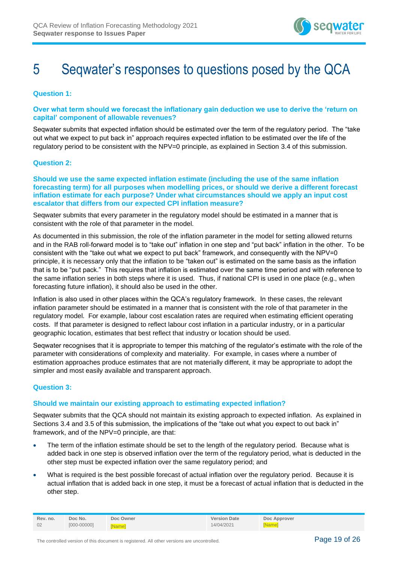

# <span id="page-18-0"></span>5 Seqwater's responses to questions posed by the QCA

**Question 1:** 

**Over what term should we forecast the inflationary gain deduction we use to derive the 'return on capital' component of allowable revenues?**

Seqwater submits that expected inflation should be estimated over the term of the regulatory period. The "take out what we expect to put back in" approach requires expected inflation to be estimated over the life of the regulatory period to be consistent with the NPV=0 principle, as explained in Section 3.4 of this submission.

### **Question 2:**

**Should we use the same expected inflation estimate (including the use of the same inflation forecasting term) for all purposes when modelling prices, or should we derive a different forecast inflation estimate for each purpose? Under what circumstances should we apply an input cost escalator that differs from our expected CPI inflation measure?** 

Seqwater submits that every parameter in the regulatory model should be estimated in a manner that is consistent with the role of that parameter in the model.

As documented in this submission, the role of the inflation parameter in the model for setting allowed returns and in the RAB roll-forward model is to "take out" inflation in one step and "put back" inflation in the other. To be consistent with the "take out what we expect to put back" framework, and consequently with the NPV=0 principle, it is necessary only that the inflation to be "taken out" is estimated on the same basis as the inflation that is to be "put pack." This requires that inflation is estimated over the same time period and with reference to the same inflation series in both steps where it is used. Thus, if national CPI is used in one place (e.g., when forecasting future inflation), it should also be used in the other.

Inflation is also used in other places within the QCA's regulatory framework. In these cases, the relevant inflation parameter should be estimated in a manner that is consistent with the role of that parameter in the regulatory model. For example, labour cost escalation rates are required when estimating efficient operating costs. If that parameter is designed to reflect labour cost inflation in a particular industry, or in a particular geographic location, estimates that best reflect that industry or location should be used.

Seqwater recognises that it is appropriate to temper this matching of the regulator's estimate with the role of the parameter with considerations of complexity and materiality. For example, in cases where a number of estimation approaches produce estimates that are not materially different, it may be appropriate to adopt the simpler and most easily available and transparent approach.

### **Question 3:**

### **Should we maintain our existing approach to estimating expected inflation?**

Seqwater submits that the QCA should not maintain its existing approach to expected inflation. As explained in Sections 3.4 and 3.5 of this submission, the implications of the "take out what you expect to out back in" framework, and of the NPV=0 principle, are that:

- The term of the inflation estimate should be set to the length of the regulatory period. Because what is added back in one step is observed inflation over the term of the regulatory period, what is deducted in the other step must be expected inflation over the same regulatory period; and
- What is required is the best possible forecast of actual inflation over the regulatory period. Because it is actual inflation that is added back in one step, it must be a forecast of actual inflation that is deducted in the other step.

| Rev. no. | Doc No.         | Doc Owner    | <b>Version Date</b> | Doc Approver |
|----------|-----------------|--------------|---------------------|--------------|
| 02       | $[000 - 00000]$ | <b>Namel</b> | 14/04/2021          | [Name]       |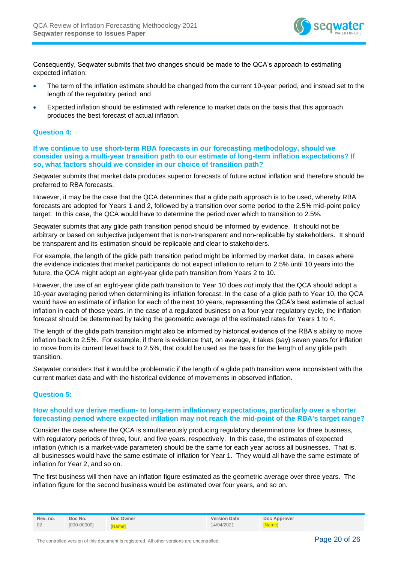

Consequently, Seqwater submits that two changes should be made to the QCA's approach to estimating expected inflation:

- The term of the inflation estimate should be changed from the current 10-year period, and instead set to the length of the regulatory period; and
- Expected inflation should be estimated with reference to market data on the basis that this approach produces the best forecast of actual inflation.

#### **Question 4:**

**If we continue to use short-term RBA forecasts in our forecasting methodology, should we consider using a multi-year transition path to our estimate of long-term inflation expectations? If so, what factors should we consider in our choice of transition path?**

Seqwater submits that market data produces superior forecasts of future actual inflation and therefore should be preferred to RBA forecasts.

However, it may be the case that the QCA determines that a glide path approach is to be used, whereby RBA forecasts are adopted for Years 1 and 2, followed by a transition over some period to the 2.5% mid-point policy target. In this case, the QCA would have to determine the period over which to transition to 2.5%.

Seqwater submits that any glide path transition period should be informed by evidence. It should not be arbitrary or based on subjective judgement that is non-transparent and non-replicable by stakeholders. It should be transparent and its estimation should be replicable and clear to stakeholders.

For example, the length of the glide path transition period might be informed by market data. In cases where the evidence indicates that market participants do not expect inflation to return to 2.5% until 10 years into the future, the QCA might adopt an eight-year glide path transition from Years 2 to 10.

However, the use of an eight-year glide path transition to Year 10 does *not* imply that the QCA should adopt a 10-year averaging period when determining its inflation forecast. In the case of a glide path to Year 10, the QCA would have an estimate of inflation for each of the next 10 years, representing the QCA's best estimate of actual inflation in each of those years. In the case of a regulated business on a four-year regulatory cycle, the inflation forecast should be determined by taking the geometric average of the estimated rates for Years 1 to 4.

The length of the glide path transition might also be informed by historical evidence of the RBA's ability to move inflation back to 2.5%. For example, if there is evidence that, on average, it takes (say) seven years for inflation to move from its current level back to 2.5%, that could be used as the basis for the length of any glide path transition.

Seqwater considers that it would be problematic if the length of a glide path transition were inconsistent with the current market data and with the historical evidence of movements in observed inflation.

#### **Question 5:**

#### **How should we derive medium- to long-term inflationary expectations, particularly over a shorter forecasting period where expected inflation may not reach the mid-point of the RBA's target range?**

Consider the case where the QCA is simultaneously producing regulatory determinations for three business, with regulatory periods of three, four, and five years, respectively. In this case, the estimates of expected inflation (which is a market-wide parameter) should be the same for each year across all businesses. That is, all businesses would have the same estimate of inflation for Year 1. They would all have the same estimate of inflation for Year 2, and so on.

The first business will then have an inflation figure estimated as the geometric average over three years. The inflation figure for the second business would be estimated over four years, and so on.

| Rev. no. | Doc No.         | Doc Owner    | <b>Version Date</b> | Doc Approver |
|----------|-----------------|--------------|---------------------|--------------|
| 02       | $[000 - 00000]$ | <b>Namel</b> | 14/04/2021          | <b>Namel</b> |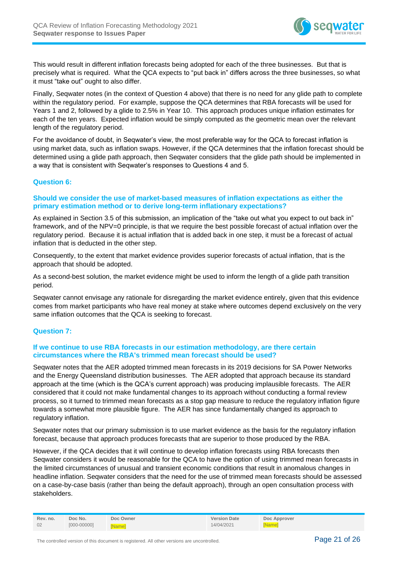

This would result in different inflation forecasts being adopted for each of the three businesses. But that is precisely what is required. What the QCA expects to "put back in" differs across the three businesses, so what it must "take out" ought to also differ.

Finally, Seqwater notes (in the context of Question 4 above) that there is no need for any glide path to complete within the regulatory period. For example, suppose the QCA determines that RBA forecasts will be used for Years 1 and 2, followed by a glide to 2.5% in Year 10. This approach produces unique inflation estimates for each of the ten years. Expected inflation would be simply computed as the geometric mean over the relevant length of the regulatory period.

For the avoidance of doubt, in Seqwater's view, the most preferable way for the QCA to forecast inflation is using market data, such as inflation swaps. However, if the QCA determines that the inflation forecast should be determined using a glide path approach, then Seqwater considers that the glide path should be implemented in a way that is consistent with Seqwater's responses to Questions 4 and 5.

### **Question 6:**

### **Should we consider the use of market-based measures of inflation expectations as either the primary estimation method or to derive long-term inflationary expectations?**

As explained in Section 3.5 of this submission, an implication of the "take out what you expect to out back in" framework, and of the NPV=0 principle, is that we require the best possible forecast of actual inflation over the regulatory period. Because it is actual inflation that is added back in one step, it must be a forecast of actual inflation that is deducted in the other step.

Consequently, to the extent that market evidence provides superior forecasts of actual inflation, that is the approach that should be adopted.

As a second-best solution, the market evidence might be used to inform the length of a glide path transition period.

Seqwater cannot envisage any rationale for disregarding the market evidence entirely, given that this evidence comes from market participants who have real money at stake where outcomes depend exclusively on the very same inflation outcomes that the QCA is seeking to forecast.

### **Question 7:**

### **If we continue to use RBA forecasts in our estimation methodology, are there certain circumstances where the RBA's trimmed mean forecast should be used?**

Seqwater notes that the AER adopted trimmed mean forecasts in its 2019 decisions for SA Power Networks and the Energy Queensland distribution businesses. The AER adopted that approach because its standard approach at the time (which is the QCA's current approach) was producing implausible forecasts. The AER considered that it could not make fundamental changes to its approach without conducting a formal review process, so it turned to trimmed mean forecasts as a stop gap measure to reduce the regulatory inflation figure towards a somewhat more plausible figure. The AER has since fundamentally changed its approach to regulatory inflation.

Seqwater notes that our primary submission is to use market evidence as the basis for the regulatory inflation forecast, because that approach produces forecasts that are superior to those produced by the RBA.

However, if the QCA decides that it will continue to develop inflation forecasts using RBA forecasts then Seqwater considers it would be reasonable for the QCA to have the option of using trimmed mean forecasts in the limited circumstances of unusual and transient economic conditions that result in anomalous changes in headline inflation. Seqwater considers that the need for the use of trimmed mean forecasts should be assessed on a case-by-case basis (rather than being the default approach), through an open consultation process with stakeholders.

| Rev. no. | Doc No.         | Doc Owner | <b>Version Date</b> | Doc Approver |
|----------|-----------------|-----------|---------------------|--------------|
| 02       | $[000 - 00000]$ | KNamel    | 14/04/2021          | <b>Namel</b> |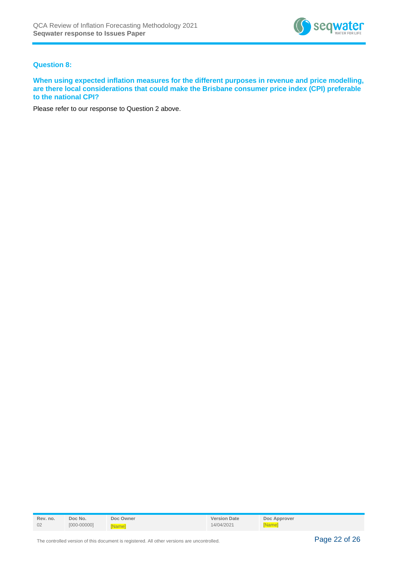

## **Question 8:**

**When using expected inflation measures for the different purposes in revenue and price modelling, are there local considerations that could make the Brisbane consumer price index (CPI) preferable to the national CPI?**

Please refer to our response to Question 2 above.

| Rev. no. | Doc No.         | Doc Owner     | <b>Version Date</b> | Doc Approver |
|----------|-----------------|---------------|---------------------|--------------|
| 02       | $[000 - 00000]$ | <b>INamel</b> | 14/04/2021          | [Name]       |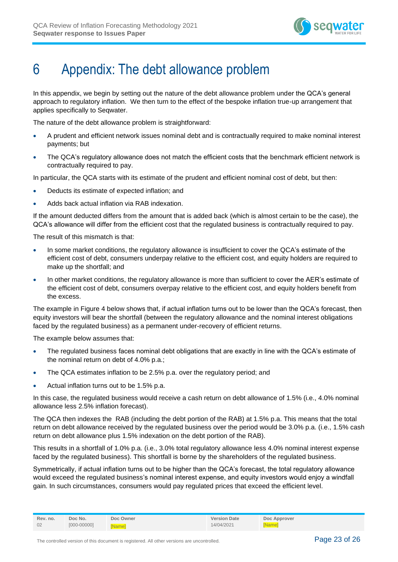

# <span id="page-22-0"></span>6 Appendix: The debt allowance problem

In this appendix, we begin by setting out the nature of the debt allowance problem under the QCA's general approach to regulatory inflation. We then turn to the effect of the bespoke inflation true-up arrangement that applies specifically to Seqwater.

The nature of the debt allowance problem is straightforward:

- A prudent and efficient network issues nominal debt and is contractually required to make nominal interest payments; but
- The QCA's regulatory allowance does not match the efficient costs that the benchmark efficient network is contractually required to pay.

In particular, the QCA starts with its estimate of the prudent and efficient nominal cost of debt, but then:

- Deducts its estimate of expected inflation; and
- Adds back actual inflation via RAB indexation.

If the amount deducted differs from the amount that is added back (which is almost certain to be the case), the QCA's allowance will differ from the efficient cost that the regulated business is contractually required to pay.

The result of this mismatch is that:

- In some market conditions, the regulatory allowance is insufficient to cover the QCA's estimate of the efficient cost of debt, consumers underpay relative to the efficient cost, and equity holders are required to make up the shortfall; and
- In other market conditions, the regulatory allowance is more than sufficient to cover the AER's estimate of the efficient cost of debt, consumers overpay relative to the efficient cost, and equity holders benefit from the excess.

The example in [Figure 4](#page-23-0) below shows that, if actual inflation turns out to be lower than the QCA's forecast, then equity investors will bear the shortfall (between the regulatory allowance and the nominal interest obligations faced by the regulated business) as a permanent under-recovery of efficient returns.

The example below assumes that:

- The regulated business faces nominal debt obligations that are exactly in line with the QCA's estimate of the nominal return on debt of 4.0% p.a.;
- The QCA estimates inflation to be 2.5% p.a. over the regulatory period; and
- Actual inflation turns out to be 1.5% p.a.

In this case, the regulated business would receive a cash return on debt allowance of 1.5% (i.e., 4.0% nominal allowance less 2.5% inflation forecast).

The QCA then indexes the RAB (including the debt portion of the RAB) at 1.5% p.a. This means that the total return on debt allowance received by the regulated business over the period would be 3.0% p.a. (i.e., 1.5% cash return on debt allowance plus 1.5% indexation on the debt portion of the RAB).

This results in a shortfall of 1.0% p.a. (i.e., 3.0% total regulatory allowance less 4.0% nominal interest expense faced by the regulated business). This shortfall is borne by the shareholders of the regulated business.

Symmetrically, if actual inflation turns out to be higher than the QCA's forecast, the total regulatory allowance would exceed the regulated business's nominal interest expense, and equity investors would enjoy a windfall gain. In such circumstances, consumers would pay regulated prices that exceed the efficient level.

| Rev. no. | Doc No.         | Doc Owner     | <b>Version Date</b> | Doc Approver |
|----------|-----------------|---------------|---------------------|--------------|
| 02       | $[000 - 00000]$ | <b>INamel</b> | 14/04/2021          | [Name]       |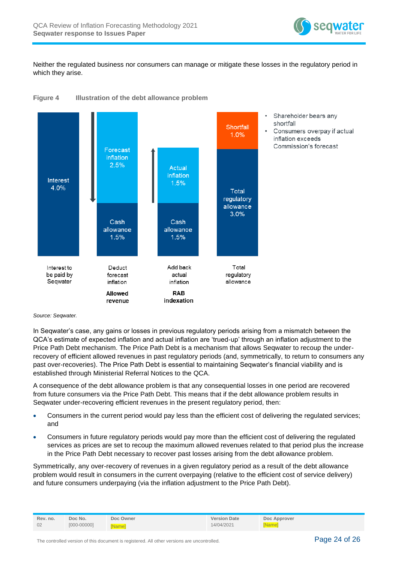

Neither the regulated business nor consumers can manage or mitigate these losses in the regulatory period in which they arise.

<span id="page-23-0"></span>



- Shareholder bears any shortfall
- Consumers overpay if actual inflation exceeds Commission's forecast

*Source: Seqwater.*

In Seqwater's case, any gains or losses in previous regulatory periods arising from a mismatch between the QCA's estimate of expected inflation and actual inflation are 'trued-up' through an inflation adjustment to the Price Path Debt mechanism. The Price Path Debt is a mechanism that allows Seqwater to recoup the underrecovery of efficient allowed revenues in past regulatory periods (and, symmetrically, to return to consumers any past over-recoveries). The Price Path Debt is essential to maintaining Seqwater's financial viability and is established through Ministerial Referral Notices to the QCA.

A consequence of the debt allowance problem is that any consequential losses in one period are recovered from future consumers via the Price Path Debt. This means that if the debt allowance problem results in Seqwater under-recovering efficient revenues in the present regulatory period, then:

- Consumers in the current period would pay less than the efficient cost of delivering the regulated services; and
- Consumers in future regulatory periods would pay more than the efficient cost of delivering the regulated services as prices are set to recoup the maximum allowed revenues related to that period plus the increase in the Price Path Debt necessary to recover past losses arising from the debt allowance problem.

Symmetrically, any over-recovery of revenues in a given regulatory period as a result of the debt allowance problem would result in consumers in the current overpaying (relative to the efficient cost of service delivery) and future consumers underpaying (via the inflation adjustment to the Price Path Debt).

| Rev. no. | Doc No.         | Doc Owner     | <b>Version Date</b> | Doc Approver |
|----------|-----------------|---------------|---------------------|--------------|
| 02       | $[000 - 00000]$ | <b>INamel</b> | 14/04/2021          | [Name]       |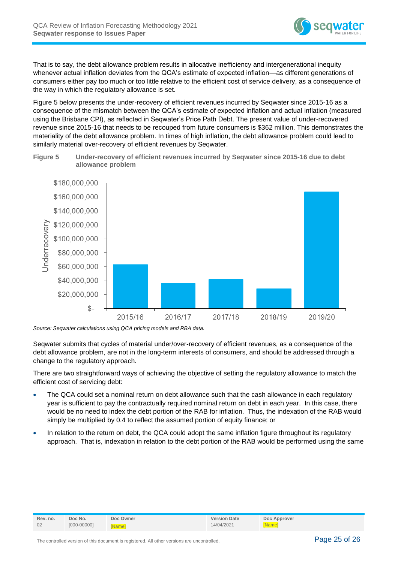

That is to say, the debt allowance problem results in allocative inefficiency and intergenerational inequity whenever actual inflation deviates from the QCA's estimate of expected inflation—as different generations of consumers either pay too much or too little relative to the efficient cost of service delivery, as a consequence of the way in which the regulatory allowance is set.

[Figure 5](#page-24-0) below presents the under-recovery of efficient revenues incurred by Seqwater since 2015-16 as a consequence of the mismatch between the QCA's estimate of expected inflation and actual inflation (measured using the Brisbane CPI), as reflected in Seqwater's Price Path Debt. The present value of under-recovered revenue since 2015-16 that needs to be recouped from future consumers is \$362 million. This demonstrates the materiality of the debt allowance problem. In times of high inflation, the debt allowance problem could lead to similarly material over-recovery of efficient revenues by Seqwater.

<span id="page-24-0"></span>**Figure 5 Under-recovery of efficient revenues incurred by Seqwater since 2015-16 due to debt allowance problem**



*Source: Seqwater calculations using QCA pricing models and RBA data.*

Seqwater submits that cycles of material under/over-recovery of efficient revenues, as a consequence of the debt allowance problem, are not in the long-term interests of consumers, and should be addressed through a change to the regulatory approach.

There are two straightforward ways of achieving the objective of setting the regulatory allowance to match the efficient cost of servicing debt:

- The QCA could set a nominal return on debt allowance such that the cash allowance in each regulatory year is sufficient to pay the contractually required nominal return on debt in each year. In this case, there would be no need to index the debt portion of the RAB for inflation. Thus, the indexation of the RAB would simply be multiplied by 0.4 to reflect the assumed portion of equity finance; or
- In relation to the return on debt, the QCA could adopt the same inflation figure throughout its regulatory approach. That is, indexation in relation to the debt portion of the RAB would be performed using the same

| Rev. no. | Doc No.         | Doc Owner    | <b>Version Date</b> | Doc Approver  |
|----------|-----------------|--------------|---------------------|---------------|
| 02       | $[000 - 00000]$ | <b>Namel</b> | 14/04/2021          | <b>[Name]</b> |